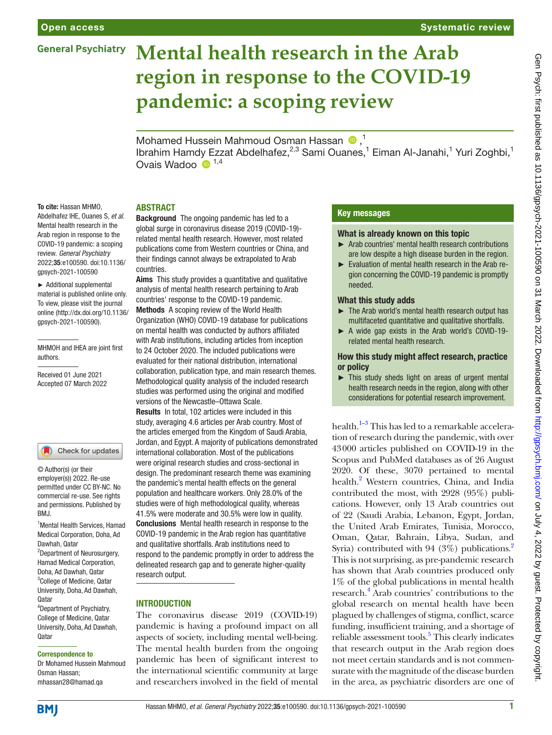# **Mental health research in the Arab region in response to the COVID-19 pandemic: a scoping review**

MohamedHussein Mahmoud Osman Hassan  $\bullet$ ,<sup>1</sup> Ibrahim Hamdy Ezzat Abdelhafez,<sup>2,3</sup> Sami Ouanes,<sup>1</sup> Eiman Al-Janahi,<sup>1</sup> Yuri Zoghbi,<sup>1</sup> Ovais Wadoo  $\bullet$ <sup>1,4</sup>

### **ABSTRACT**

Abdelhafez IHE, Ouanes S, *et al*. Mental health research in the Arab region in response to the COVID-19 pandemic: a scoping review. *General Psychiatry* 2022;35:e100590. doi:10.1136/ gpsych-2021-100590

To cite: Hassan MHMO,

► Additional supplemental material is published online only. To view, please visit the journal online [\(http://dx.doi.org/10.1136/](http://dx.doi.org/10.1136/gpsych-2021-100590) [gpsych-2021-100590\)](http://dx.doi.org/10.1136/gpsych-2021-100590).

MHMOH and IHEA are joint first authors.

Received 01 June 2021 Accepted 07 March 2022

#### Check for updates

© Author(s) (or their employer(s)) 2022. Re-use permitted under CC BY-NC. No commercial re-use. See rights and permissions. Published by BMJ.

1 Mental Health Services, Hamad Medical Corporation, Doha, Ad Dawhah, Qatar <sup>2</sup>Department of Neurosurgery, Hamad Medical Corporation, Doha, Ad Dawhah, Qatar 3 College of Medicine, Qatar University, Doha, Ad Dawhah, Qatar 4 Department of Psychiatry,

College of Medicine, Qatar University, Doha, Ad Dawhah, **Qatar** 

#### Correspondence to

Dr Mohamed Hussein Mahmoud Osman Hassan; mhassan28@hamad.qa

Background The ongoing pandemic has led to a global surge in coronavirus disease 2019 (COVID-19) related mental health research. However, most related publications come from Western countries or China, and their findings cannot always be extrapolated to Arab countries.

Aims This study provides a quantitative and qualitative analysis of mental health research pertaining to Arab countries' response to the COVID-19 pandemic. Methods A scoping review of the World Health Organization (WHO) COVID-19 database for publications on mental health was conducted by authors affiliated with Arab institutions, including articles from inception to 24 October 2020. The included publications were evaluated for their national distribution, international collaboration, publication type, and main research themes. Methodological quality analysis of the included research studies was performed using the original and modified versions of the Newcastle–Ottawa Scale. Results In total, 102 articles were included in this

study, averaging 4.6 articles per Arab country. Most of the articles emerged from the Kingdom of Saudi Arabia, Jordan, and Egypt. A majority of publications demonstrated international collaboration. Most of the publications were original research studies and cross-sectional in design. The predominant research theme was examining the pandemic's mental health effects on the general population and healthcare workers. Only 28.0% of the studies were of high methodological quality, whereas 41.5% were moderate and 30.5% were low in quality. Conclusions Mental health research in response to the COVID-19 pandemic in the Arab region has quantitative and qualitative shortfalls. Arab institutions need to respond to the pandemic promptly in order to address the delineated research gap and to generate higher-quality research output.

#### **INTRODUCTION**

The coronavirus disease 2019 (COVID-19) pandemic is having a profound impact on all aspects of society, including mental well-being. The mental health burden from the ongoing pandemic has been of significant interest to the international scientific community at large and researchers involved in the field of mental

# Key messages

#### What is already known on this topic

- ► Arab countries' mental health research contributions are low despite a high disease burden in the region.
- ► Evaluation of mental health research in the Arab region concerning the COVID-19 pandemic is promptly needed.

#### What this study adds

- ► The Arab world's mental health research output has multifaceted quantitative and qualitative shortfalls.
- ► A wide gap exists in the Arab world's COVID-19 related mental health research.

How this study might affect research, practice or policy

► This study sheds light on areas of urgent mental health research needs in the region, along with other considerations for potential research improvement.

health.<sup>1–3</sup> This has led to a remarkable acceleration of research during the pandemic, with over 43000 articles published on COVID-19 in the Scopus and PubMed databases as of 26 August 2020. Of these, 3070 pertained to mental health.<sup>2</sup> Western countries, China, and India contributed the most, with 2928 (95%) publications. However, only 13 Arab countries out of 22 (Saudi Arabia, Lebanon, Egypt, Jordan, the United Arab Emirates, Tunisia, Morocco, Oman, Qatar, Bahrain, Libya, Sudan, and Syria) contributed with 94 (3%) publications.<sup>2</sup> This is not surprising, as pre-pandemic research has shown that Arab countries produced only 1% of the global publications in mental health research[.4](#page-5-2) Arab countries' contributions to the global research on mental health have been plagued by challenges of stigma, conflict, scarce funding, insufficient training, and a shortage of reliable assessment tools.<sup>5</sup> This clearly indicates that research output in the Arab region does not meet certain standards and is not commensurate with the magnitude of the disease burden in the area, as psychiatric disorders are one of

**BMI**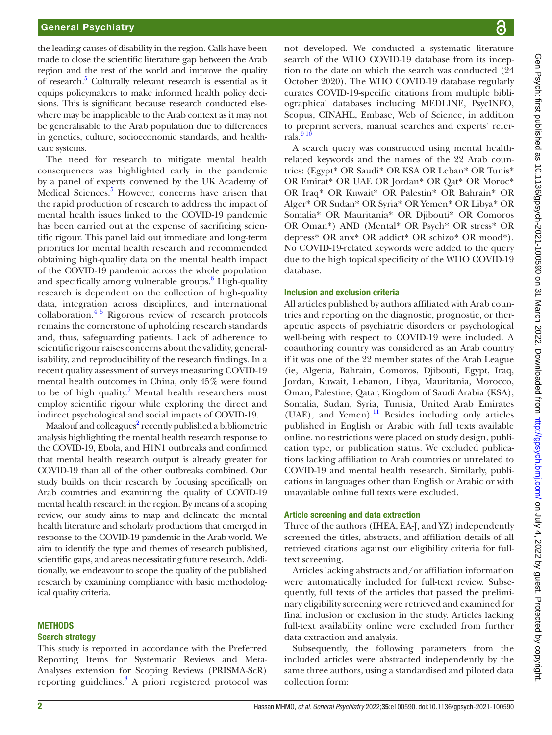the leading causes of disability in the region. Calls have been made to close the scientific literature gap between the Arab region and the rest of the world and improve the quality of research.<sup>5</sup> Culturally relevant research is essential as it equips policymakers to make informed health policy decisions. This is significant because research conducted elsewhere may be inapplicable to the Arab context as it may not be generalisable to the Arab population due to differences in genetics, culture, socioeconomic standards, and healthcare systems.

The need for research to mitigate mental health consequences was highlighted early in the pandemic by a panel of experts convened by the UK Academy of Medical Sciences.<sup>5</sup> However, concerns have arisen that the rapid production of research to address the impact of mental health issues linked to the COVID-19 pandemic has been carried out at the expense of sacrificing scientific rigour. This panel laid out immediate and long-term priorities for mental health research and recommended obtaining high-quality data on the mental health impact of the COVID-19 pandemic across the whole population and specifically among vulnerable groups.<sup>6</sup> High-quality research is dependent on the collection of high-quality data, integration across disciplines, and international collaboration[.4 5](#page-5-2) Rigorous review of research protocols remains the cornerstone of upholding research standards and, thus, safeguarding patients. Lack of adherence to scientific rigour raises concerns about the validity, generalisability, and reproducibility of the research findings. In a recent quality assessment of surveys measuring COVID-19 mental health outcomes in China, only 45% were found to be of high quality.<sup>[7](#page-5-5)</sup> Mental health researchers must employ scientific rigour while exploring the direct and indirect psychological and social impacts of COVID-19.

Maalouf and colleagues<sup>2</sup> recently published a bibliometric analysis highlighting the mental health research response to the COVID-19, Ebola, and H1N1 outbreaks and confirmed that mental health research output is already greater for COVID-19 than all of the other outbreaks combined. Our study builds on their research by focusing specifically on Arab countries and examining the quality of COVID-19 mental health research in the region. By means of a scoping review, our study aims to map and delineate the mental health literature and scholarly productions that emerged in response to the COVID-19 pandemic in the Arab world. We aim to identify the type and themes of research published, scientific gaps, and areas necessitating future research. Additionally, we endeavour to scope the quality of the published research by examining compliance with basic methodological quality criteria.

#### **METHODS**

#### Search strategy

This study is reported in accordance with the Preferred Reporting Items for Systematic Reviews and Meta-Analyses extension for Scoping Reviews (PRISMA-ScR) reporting guidelines.<sup>8</sup> A priori registered protocol was

not developed. We conducted a systematic literature search of the WHO COVID-19 database from its inception to the date on which the search was conducted (24 October 2020). The WHO COVID-19 database regularly curates COVID-19-specific citations from multiple bibliographical databases including MEDLINE, PsycINFO, Scopus, CINAHL, Embase, Web of Science, in addition to preprint servers, manual searches and experts' referrals. $91$ 

A search query was constructed using mental healthrelated keywords and the names of the 22 Arab countries: (Egypt\* OR Saudi\* OR KSA OR Leban\* OR Tunis\* OR Emirat\* OR UAE OR Jordan\* OR Qat\* OR Moroc\* OR Iraq\* OR Kuwait\* OR Palestin\* OR Bahrain\* OR Alger\* OR Sudan\* OR Syria\* OR Yemen\* OR Libya\* OR Somalia\* OR Mauritania\* OR Djibouti\* OR Comoros OR Oman\*) AND (Mental\* OR Psych\* OR stress\* OR depress\* OR anx\* OR addict\* OR schizo\* OR mood\*). No COVID-19-related keywords were added to the query due to the high topical specificity of the WHO COVID-19 database.

#### Inclusion and exclusion criteria

All articles published by authors affiliated with Arab countries and reporting on the diagnostic, prognostic, or therapeutic aspects of psychiatric disorders or psychological well-being with respect to COVID-19 were included. A coauthoring country was considered as an Arab country if it was one of the 22 member states of the Arab League (ie, Algeria, Bahrain, Comoros, Djibouti, Egypt, Iraq, Jordan, Kuwait, Lebanon, Libya, Mauritania, Morocco, Oman, Palestine, Qatar, Kingdom of Saudi Arabia (KSA), Somalia, Sudan, Syria, Tunisia, United Arab Emirates  $(UAE)$ , and Yemen).<sup>11</sup> Besides including only articles published in English or Arabic with full texts available online, no restrictions were placed on study design, publication type, or publication status. We excluded publications lacking affiliation to Arab countries or unrelated to COVID-19 and mental health research. Similarly, publications in languages other than English or Arabic or with unavailable online full texts were excluded.

### Article screening and data extraction

Three of the authors (IHEA, EA-J, and YZ) independently screened the titles, abstracts, and affiliation details of all retrieved citations against our eligibility criteria for fulltext screening.

Articles lacking abstracts and/or affiliation information were automatically included for full-text review. Subsequently, full texts of the articles that passed the preliminary eligibility screening were retrieved and examined for final inclusion or exclusion in the study. Articles lacking full-text availability online were excluded from further data extraction and analysis.

Subsequently, the following parameters from the included articles were abstracted independently by the same three authors, using a standardised and piloted data collection form: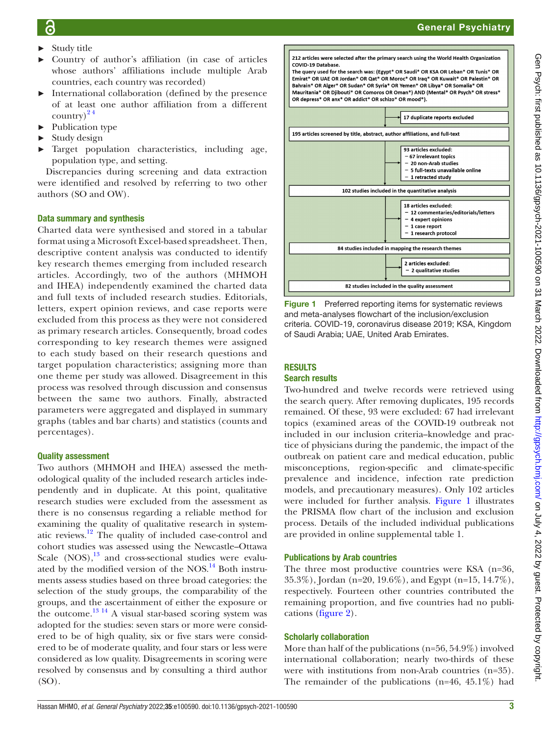- ► Study title
- ► Country of author's affiliation (in case of articles whose authors' affiliations include multiple Arab countries, each country was recorded)
- ► International collaboration (defined by the presence of at least one author affiliation from a different country) $2<sup>4</sup>$
- Publication type
- $\blacktriangleright$  Study design
- Target population characteristics, including age, population type, and setting.

Discrepancies during screening and data extraction were identified and resolved by referring to two other authors (SO and OW).

### Data summary and synthesis

Charted data were synthesised and stored in a tabular format using a Microsoft Excel-based spreadsheet. Then, descriptive content analysis was conducted to identify key research themes emerging from included research articles. Accordingly, two of the authors (MHMOH and IHEA) independently examined the charted data and full texts of included research studies. Editorials, letters, expert opinion reviews, and case reports were excluded from this process as they were not considered as primary research articles. Consequently, broad codes corresponding to key research themes were assigned to each study based on their research questions and target population characteristics; assigning more than one theme per study was allowed. Disagreement in this process was resolved through discussion and consensus between the same two authors. Finally, abstracted parameters were aggregated and displayed in summary graphs (tables and bar charts) and statistics (counts and percentages).

#### Quality assessment

Two authors (MHMOH and IHEA) assessed the methodological quality of the included research articles independently and in duplicate. At this point, qualitative research studies were excluded from the assessment as there is no consensus regarding a reliable method for examining the quality of qualitative research in systematic reviews.[12](#page-6-3) The quality of included case-control and cohort studies was assessed using the Newcastle–Ottawa Scale  $(NOS)$ , <sup>13</sup> and cross-sectional studies were evaluated by the modified version of the NOS. $^{14}$  $^{14}$  $^{14}$  Both instruments assess studies based on three broad categories: the selection of the study groups, the comparability of the groups, and the ascertainment of either the exposure or the outcome. $^{13}$  <sup>14</sup> A visual star-based scoring system was adopted for the studies: seven stars or more were considered to be of high quality, six or five stars were considered to be of moderate quality, and four stars or less were considered as low quality. Disagreements in scoring were resolved by consensus and by consulting a third author (SO).



<span id="page-2-0"></span>Figure 1 Preferred reporting items for systematic reviews and meta-analyses flowchart of the inclusion/exclusion criteria. COVID-19, coronavirus disease 2019; KSA, Kingdom of Saudi Arabia; UAE, United Arab Emirates.

### **RESULTS**

#### Search results

Two-hundred and twelve records were retrieved using the search query. After removing duplicates, 195 records remained. Of these, 93 were excluded: 67 had irrelevant topics (examined areas of the COVID-19 outbreak not included in our inclusion criteria--knowledge and practice of physicians during the pandemic, the impact of the outbreak on patient care and medical education, public misconceptions, region-specific and climate-specific prevalence and incidence, infection rate prediction models, and precautionary measures). Only 102 articles were included for further analysis. [Figure](#page-2-0) 1 illustrates the PRISMA flow chart of the inclusion and exclusion process. Details of the included individual publications are provided in [online supplemental table 1](https://dx.doi.org/10.1136/gpsych-2021-100590).

#### Publications by Arab countries

The three most productive countries were KSA (n=36, 35.3%), Jordan (n=20, 19.6%), and Egypt (n=15, 14.7%), respectively. Fourteen other countries contributed the remaining proportion, and five countries had no publications [\(figure](#page-3-0) 2).

#### Scholarly collaboration

More than half of the publications (n=56, 54.9%) involved international collaboration; nearly two-thirds of these were with institutions from non-Arab countries (n=35). The remainder of the publications (n=46, 45.1%) had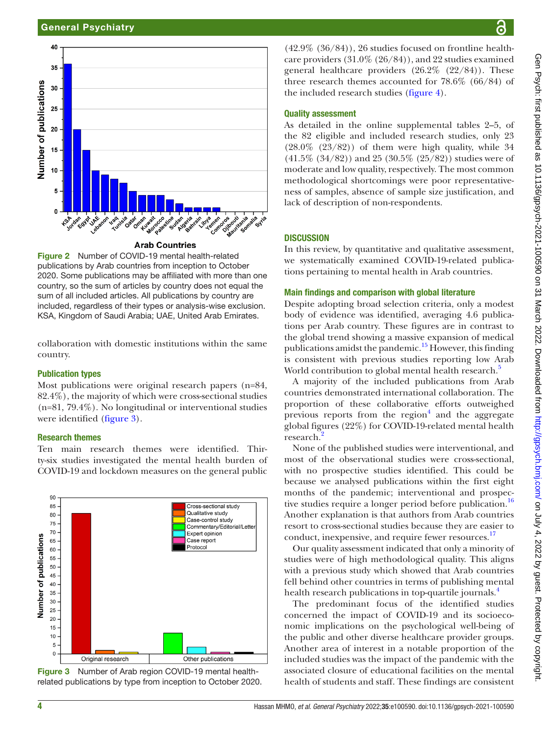



<span id="page-3-0"></span>Figure 2 Number of COVID-19 mental health-related publications by Arab countries from inception to October 2020. Some publications may be affiliated with more than one country, so the sum of articles by country does not equal the sum of all included articles. All publications by country are included, regardless of their types or analysis-wise exclusion. KSA, Kingdom of Saudi Arabia; UAE, United Arab Emirates.

collaboration with domestic institutions within the same country.

#### Publication types

Most publications were original research papers (n=84, 82.4%), the majority of which were cross-sectional studies (n=81, 79.4%). No longitudinal or interventional studies were identified ([figure](#page-3-1) 3).

#### Research themes

Ten main research themes were identified. Thirty-six studies investigated the mental health burden of COVID-19 and lockdown measures on the general public



<span id="page-3-1"></span>Figure 3 Number of Arab region COVID-19 mental healthrelated publications by type from inception to October 2020.

 $(42.9\%$   $(36/84)$ , 26 studies focused on frontline healthcare providers (31.0% (26/84)), and 22 studies examined general healthcare providers  $(26.2\% (22/84))$ . These three research themes accounted for 78.6% (66/84) of the included research studies [\(figure](#page-4-0) 4).

#### Quality assessment

As detailed in the [online supplemental tables 2–5](https://dx.doi.org/10.1136/gpsych-2021-100590), of the 82 eligible and included research studies, only 23  $(28.0\% (23/82))$  of them were high quality, while 34  $(41.5\% (34/82))$  and 25 (30.5% (25/82)) studies were of moderate and low quality, respectively. The most common methodological shortcomings were poor representativeness of samples, absence of sample size justification, and lack of description of non-respondents.

#### **DISCUSSION**

In this review, by quantitative and qualitative assessment, we systematically examined COVID-19-related publications pertaining to mental health in Arab countries.

#### Main findings and comparison with global literature

Despite adopting broad selection criteria, only a modest body of evidence was identified, averaging 4.6 publications per Arab country. These figures are in contrast to the global trend showing a massive expansion of medical publications amidst the pandemic.<sup>15</sup> However, this finding is consistent with previous studies reporting low Arab World contribution to global mental health research.<sup>[5](#page-5-3)</sup>

A majority of the included publications from Arab countries demonstrated international collaboration. The proportion of these collaborative efforts outweighed previous reports from the region $4$  and the aggregate global figures (22%) for COVID-19-related mental health research.<sup>[2](#page-5-1)</sup>

None of the published studies were interventional, and most of the observational studies were cross-sectional, with no prospective studies identified. This could be because we analysed publications within the first eight months of the pandemic; interventional and prospec-tive studies require a longer period before publication.<sup>[16](#page-6-7)</sup> Another explanation is that authors from Arab countries resort to cross-sectional studies because they are easier to conduct, inexpensive, and require fewer resources.<sup>17</sup>

Our quality assessment indicated that only a minority of studies were of high methodological quality. This aligns with a previous study which showed that Arab countries fell behind other countries in terms of publishing mental health research publications in top-quartile journals.<sup>[4](#page-5-2)</sup>

The predominant focus of the identified studies concerned the impact of COVID-19 and its socioeconomic implications on the psychological well-being of the public and other diverse healthcare provider groups. Another area of interest in a notable proportion of the included studies was the impact of the pandemic with the associated closure of educational facilities on the mental health of students and staff. These findings are consistent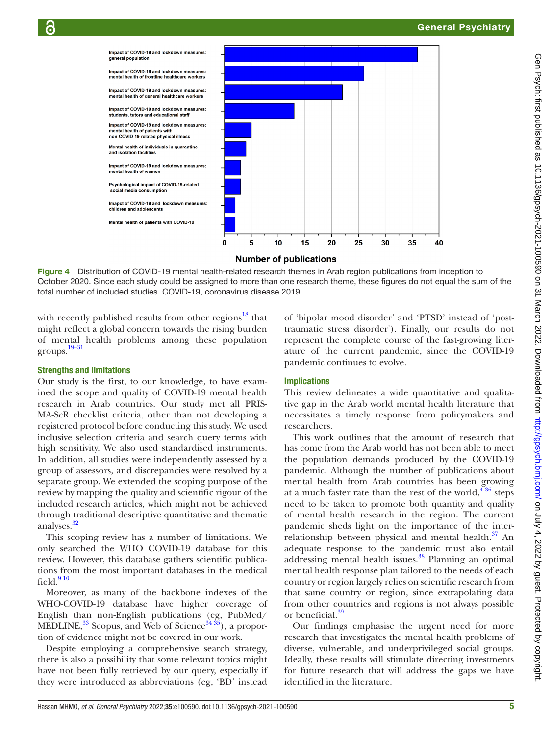

Figure 4 Distribution of COVID-19 mental health-related research themes in Arab region publications from inception to October 2020. Since each study could be assigned to more than one research theme, these figures do not equal the sum of the total number of included studies. COVID-19, coronavirus disease 2019.

with recently published results from other regions<sup>[18](#page-6-9)</sup> that might reflect a global concern towards the rising burden of mental health problems among these population groups. [19–31](#page-6-10)

# Strengths and limitations

Our study is the first, to our knowledge, to have examined the scope and quality of COVID-19 mental health research in Arab countries. Our study met all PRIS-MA-ScR checklist criteria, other than not developing a registered protocol before conducting this study. We used inclusive selection criteria and search query terms with high sensitivity. We also used standardised instruments. In addition, all studies were independently assessed by a group of assessors, and discrepancies were resolved by a separate group. We extended the scoping purpose of the review by mapping the quality and scientific rigour of the included research articles, which might not be achieved through traditional descriptive quantitative and thematic analyses.<sup>[32](#page-6-11)</sup>

This scoping review has a number of limitations. We only searched the WHO COVID-19 database for this review. However, this database gathers scientific publications from the most important databases in the medical field  $910$ 

Moreover, as many of the backbone indexes of the WHO-COVID-19 database have higher coverage of English than non-English publications (eg, PubMed/ MEDLINE,  $33$  Scopus, and Web of Science  $3435$ , a proportion of evidence might not be covered in our work.

Despite employing a comprehensive search strategy, there is also a possibility that some relevant topics might have not been fully retrieved by our query, especially if they were introduced as abbreviations (eg, 'BD' instead

<span id="page-4-0"></span>of 'bipolar mood disorder' and 'PTSD' instead of 'posttraumatic stress disorder'). Finally, our results do not represent the complete course of the fast-growing literature of the current pandemic, since the COVID-19 pandemic continues to evolve.

# Implications

This review delineates a wide quantitative and qualitative gap in the Arab world mental health literature that necessitates a timely response from policymakers and researchers.

This work outlines that the amount of research that has come from the Arab world has not been able to meet the population demands produced by the COVID-19 pandemic. Although the number of publications about mental health from Arab countries has been growing at a much faster rate than the rest of the world,  $4\frac{36}{10}$  steps need to be taken to promote both quantity and quality of mental health research in the region. The current pandemic sheds light on the importance of the interrelationship between physical and mental health.<sup>37</sup> An adequate response to the pandemic must also entail addressing mental health issues.<sup>[38](#page-6-15)</sup> Planning an optimal mental health response plan tailored to the needs of each country or region largely relies on scientific research from that same country or region, since extrapolating data from other countries and regions is not always possible or beneficial.<sup>39</sup>

Our findings emphasise the urgent need for more research that investigates the mental health problems of diverse, vulnerable, and underprivileged social groups. Ideally, these results will stimulate directing investments for future research that will address the gaps we have identified in the literature.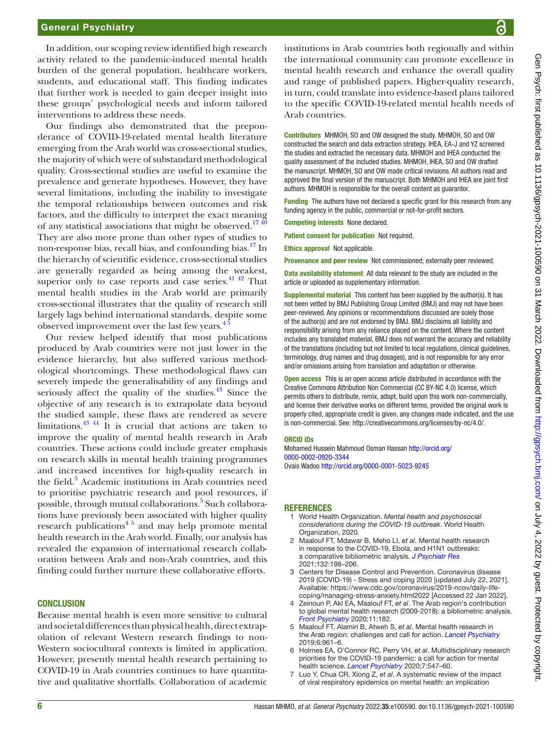In addition, our scoping review identified high research activity related to the pandemic-induced mental health burden of the general population, healthcare workers, students, and educational staff. This finding indicates that further work is needed to gain deeper insight into these groups' psychological needs and inform tailored interventions to address these needs.

Our findings also demonstrated that the preponderance of COVID-19-related mental health literature emerging from the Arab world was cross-sectional studies, the majority of which were of substandard methodological quality. Cross-sectional studies are useful to examine the prevalence and generate hypotheses. However, they have several limitations, including the inability to investigate the temporal relationships between outcomes and risk factors, and the difficulty to interpret the exact meaning of any statistical associations that might be observed.<sup>1740</sup> They are also more prone than other types of studies to non-response bias, recall bias, and confounding bias.<sup>17</sup> In the hierarchy of scientific evidence, cross-sectional studies are generally regarded as being among the weakest, superior only to case reports and case series.<sup>[41 42](#page-6-17)</sup> That mental health studies in the Arab world are primarily cross-sectional illustrates that the quality of research still largely lags behind international standards, despite some observed improvement over the last few years.<sup>45</sup>

Our review helped identify that most publications produced by Arab countries were not just lower in the evidence hierarchy, but also suffered various methodological shortcomings. These methodological flaws can severely impede the generalisability of any findings and seriously affect the quality of the studies.<sup>43</sup> Since the objective of any research is to extrapolate data beyond the studied sample, these flaws are rendered as severe limitations.<sup>43 44</sup> It is crucial that actions are taken to improve the quality of mental health research in Arab countries. These actions could include greater emphasis on research skills in mental health training programmes and increased incentives for high-quality research in the field.<sup>[5](#page-5-3)</sup> Academic institutions in Arab countries need to prioritise psychiatric research and pool resources, if possible, through mutual collaborations.<sup>[5](#page-5-3)</sup> Such collaborations have previously been associated with higher quality research publications $4^{\frac{5}{2}}$  and may help promote mental health research in the Arab world. Finally, our analysis has revealed the expansion of international research collaboration between Arab and non-Arab countries, and this finding could further nurture these collaborative efforts.

#### **CONCLUSION**

Because mental health is even more sensitive to cultural and societal differences than physical health, direct extrapolation of relevant Western research findings to non-Western sociocultural contexts is limited in application. However, presently mental health research pertaining to COVID-19 in Arab countries continues to have quantitative and qualitative shortfalls. Collaboration of academic

institutions in Arab countries both regionally and within the international community can promote excellence in mental health research and enhance the overall quality and range of published papers. Higher-quality research, in turn, could translate into evidence-based plans tailored to the specific COVID-19-related mental health needs of Arab countries.

Contributors MHMOH, SO and OW designed the study. MHMOH, SO and OW constructed the search and data extraction strategy. IHEA, EA-J and YZ screened the studies and extracted the necessary data. MHMOH and IHEA conducted the quality assessment of the included studies. MHMOH, IHEA, SO and OW drafted the manuscript. MHMOH, SO and OW made critical revisions. All authors read and approved the final version of the manuscript. Both MHMOH and IHEA are joint first authors. MHMOH is responsible for the overall content as guarantor.

Funding The authors have not declared a specific grant for this research from any funding agency in the public, commercial or not-for-profit sectors.

Competing interests None declared.

Patient consent for publication Not required.

Ethics approval Not applicable.

Provenance and peer review Not commissioned; externally peer reviewed.

Data availability statement All data relevant to the study are included in the article or uploaded as supplementary information.

Supplemental material This content has been supplied by the author(s). It has not been vetted by BMJ Publishing Group Limited (BMJ) and may not have been peer-reviewed. Any opinions or recommendations discussed are solely those of the author(s) and are not endorsed by BMJ. BMJ disclaims all liability and responsibility arising from any reliance placed on the content. Where the content includes any translated material, BMJ does not warrant the accuracy and reliability of the translations (including but not limited to local regulations, clinical guidelines, terminology, drug names and drug dosages), and is not responsible for any error and/or omissions arising from translation and adaptation or otherwise.

Open access This is an open access article distributed in accordance with the Creative Commons Attribution Non Commercial (CC BY-NC 4.0) license, which permits others to distribute, remix, adapt, build upon this work non-commercially, and license their derivative works on different terms, provided the original work is properly cited, appropriate credit is given, any changes made indicated, and the use is non-commercial. See: [http://creativecommons.org/licenses/by-nc/4.0/.](http://creativecommons.org/licenses/by-nc/4.0/)

#### ORCID iDs

Mohamed Hussein Mahmoud Osman Hassan [http://orcid.org/](http://orcid.org/0000-0002-0920-3344) [0000-0002-0920-3344](http://orcid.org/0000-0002-0920-3344) Ovais Wadoo <http://orcid.org/0000-0001-5023-9245>

#### **REFERENCES**

- <span id="page-5-0"></span>1 World Health Organization. *Mental health and psychosocial considerations during the COVID-19 outbreak*. World Health Organization, 2020.
- <span id="page-5-1"></span>2 Maalouf FT, Mdawar B, Meho LI, *et al*. Mental health research in response to the COVID-19, Ebola, and H1N1 outbreaks: a comparative bibliometric analysis. *[J Psychiatr Res](http://dx.doi.org/10.1016/j.jpsychires.2020.10.018)* 2021;132:198–206.
- 3 Centers for Disease Control and Prevention. Coronavirus disease 2019 (COVID-19) - Stress and coping 2020 [updated July 22, 2021]. Available: [https://www.cdc.gov/coronavirus/2019-ncov/daily-life](https://www.cdc.gov/coronavirus/2019-ncov/daily-life-coping/managing-stress-anxiety.html2022)[coping/managing-stress-anxiety.html2022](https://www.cdc.gov/coronavirus/2019-ncov/daily-life-coping/managing-stress-anxiety.html2022) [Accessed 22 Jan 2022].
- <span id="page-5-2"></span>4 Zeinoun P, Akl EA, Maalouf FT, *et al*. The Arab region's contribution to global mental health research (2009-2018): a bibliometric analysis. *[Front Psychiatry](http://dx.doi.org/10.3389/fpsyt.2020.00182)* 2020;11:182.
- <span id="page-5-3"></span>5 Maalouf FT, Alamiri B, Atweh S, *et al*. Mental health research in the Arab region: challenges and call for action. *[Lancet Psychiatry](http://dx.doi.org/10.1016/S2215-0366(19)30124-5)* 2019;6:961–6.
- <span id="page-5-4"></span>6 Holmes EA, O'Connor RC, Perry VH, *et al*. Multidisciplinary research priorities for the COVID-19 pandemic: a call for action for mental health science. *[Lancet Psychiatry](http://dx.doi.org/10.1016/S2215-0366(20)30168-1)* 2020;7:547–60.
- <span id="page-5-5"></span>7 Luo Y, Chua CR, Xiong Z, *et al*. A systematic review of the impact of viral respiratory epidemics on mental health: an implication